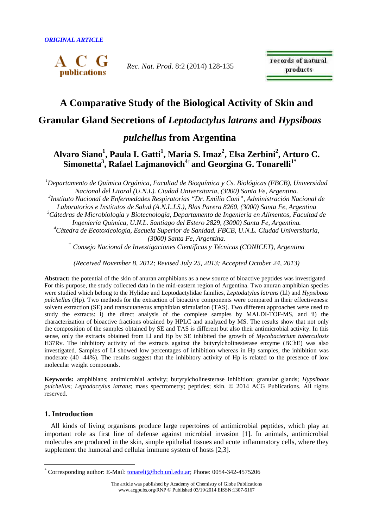

*Rec. Nat. Prod*. 8:2 (2014) 128-135

records of natural products

# **A Comparative Study of the Biological Activity of Skin and**

# **Granular Gland Secretions of** *Leptodactylus latrans* **and** *Hypsiboas*

# *pulchellus* **from Argentina**

# **Alvaro Siano<sup>1</sup> , Paula I. Gatti<sup>1</sup> , Maria S. Imaz<sup>2</sup> , Elsa Zerbini<sup>2</sup> , Arturo C. Simonetta<sup>3</sup> , Rafael Lajmanovich<sup>4</sup>† and Georgina G. Tonarelli1\***

*<sup>1</sup>Departamento de Química Orgánica, Facultad de Bioquímica y Cs. Biológicas (FBCB), Universidad Nacional del Litoral (U.N.L). Ciudad Universitaria, (3000) Santa Fe, Argentina. 2 Instituto Nacional de Enfermedades Respiratorias "Dr. Emilio Coni", Administración Nacional de Laboratorios e Institutos de Salud (A.N.L.I.S.), Blas Parera 8260, (3000) Santa Fe, Argentina <sup>3</sup>Cátedras de Microbiología y Biotecnología, Departamento de Ingeniería en Alimentos, Facultad de Ingeniería Química, U.N.L. Santiago del Estero 2829, (3000) Santa Fe, Argentina. <sup>4</sup>Cátedra de Ecotoxicología, Escuela Superior de Sanidad. FBCB, U.N.L. Ciudad Universitaria, (3000) Santa Fe, Argentina.*  †  *Consejo Nacional de Investigaciones Científicas y Técnicas (CONICET), Argentina* 

*(Received November 8, 2012; Revised July 25, 2013; Accepted October 24, 2013)* 

**Abstract:** the potential of the skin of anuran amphibians as a new source of bioactive peptides was investigated . For this purpose, the study collected data in the mid-eastern region of Argentina. Two anuran amphibian species were studied which belong to the Hylidae and Leptodactylidae families, *Leptodatylus latrans* (Ll) and *Hypsiboas pulchellus* (Hp). Two methods for the extraction of bioactive components were compared in their effectiveness: solvent extraction (SE) and transcutaneous amphibian stimulation (TAS). Two different approaches were used to study the extracts: i) the direct analysis of the complete samples by MALDI-TOF-MS, and ii) the characterization of bioactive fractions obtained by HPLC and analyzed by MS. The results show that not only the composition of the samples obtained by SE and TAS is different but also their antimicrobial activity. In this sense, only the extracts obtained from Ll and Hp by SE inhibited the growth of *Mycobacterium tuberculosis* H37Rv. The inhibitory activity of the extracts against the butyrylcholinesterase enzyme (BChE) was also investigated. Samples of Ll showed low percentages of inhibition whereas in Hp samples, the inhibition was moderate (40 -44%). The results suggest that the inhibitory activity of Hp is related to the presence of low molecular weight compounds.

**Keywords:** amphibians; antimicrobial activity; butyrylcholinesterase inhibition; granular glands; *Hypsiboas pulchellus*; *Leptodactylus latrans*; mass spectrometry; peptides; skin. © 2014 ACG Publications. All rights reserved.

# **1. Introduction**

 $\overline{a}$ 

All kinds of living organisms produce large repertoires of antimicrobial peptides, which play an important role as first line of defense against microbial invasion [1]. In animals, antimicrobial molecules are produced in the skin, simple epithelial tissues and acute inflammatory cells, where they supplement the humoral and cellular immune system of hosts [2,3].

<sup>\*</sup> Corresponding author: E-Mail: *tonareli@fbcb.unl.edu.ar*; Phone: 0054-342-4575206

The article was published by Academy of Chemistry of Globe Publications www.acgpubs.org/RNP © Published 03/19/2014 EISSN:1307-6167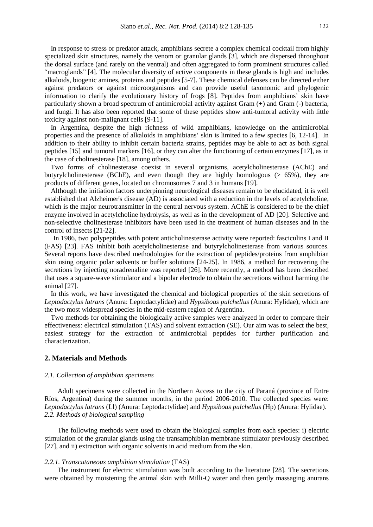In response to stress or predator attack, amphibians secrete a complex chemical cocktail from highly specialized skin structures, namely the venom or granular glands [3], which are dispersed throughout the dorsal surface (and rarely on the ventral) and often aggregated to form prominent structures called "macroglands" [4]. The molecular diversity of active components in these glands is high and includes alkaloids, biogenic amines, proteins and peptides [5-7]. These chemical defenses can be directed either against predators or against microorganisms and can provide useful taxonomic and phylogenic information to clarify the evolutionary history of frogs [8]. Peptides from amphibians' skin have particularly shown a broad spectrum of antimicrobial activity against Gram (+) and Gram (-) bacteria, and fungi. It has also been reported that some of these peptides show anti-tumoral activity with little toxicity against non-malignant cells [9-11].

In Argentina, despite the high richness of wild amphibians, knowledge on the antimicrobial properties and the presence of alkaloids in amphibians' skin is limited to a few species [6, 12-14]. In addition to their ability to inhibit certain bacteria strains, peptides may be able to act as both signal peptides [15] and tumoral markers [16], or they can alter the functioning of certain enzymes [17], as in the case of cholinesterase [18], among others.

Two forms of cholinesterase coexist in several organisms, acetylcholinesterase (AChE) and butyrylcholinesterase (BChE), and even though they are highly homologous (> 65%), they are products of different genes, located on chromosomes 7 and 3 in humans [19].

Although the initiation factors underpinning neurological diseases remain to be elucidated, it is well established that Alzheimer's disease (AD) is associated with a reduction in the levels of acetylcholine, which is the major neurotransmitter in the central nervous system. AChE is considered to be the chief enzyme involved in acetylcholine hydrolysis, as well as in the development of AD [20]. Selective and non-selective cholinesterase inhibitors have been used in the treatment of human diseases and in the control of insects [21-22].

In 1986, two polypeptides with potent anticholinesterase activity were reported: fasciculins I and II (FAS) [23]. FAS inhibit both acetylcholinesterase and butyrylcholinesterase from various sources. Several reports have described methodologies for the extraction of peptides/proteins from amphibian skin using organic polar solvents or buffer solutions [24-25]. In 1986, a method for recovering the secretions by injecting noradrenaline was reported [26]. More recently, a method has been described that uses a square-wave stimulator and a bipolar electrode to obtain the secretions without harming the animal [27].

In this work, we have investigated the chemical and biological properties of the skin secretions of *Leptodactylus latrans* (Anura: Leptodactylidae) and *Hypsiboas pulchellus* (Anura: Hylidae), which are the two most widespread species in the mid-eastern region of Argentina.

Two methods for obtaining the biologically active samples were analyzed in order to compare their effectiveness: electrical stimulation (TAS) and solvent extraction (SE). Our aim was to select the best, easiest strategy for the extraction of antimicrobial peptides for further purification and characterization.

## **2. Materials and Methods**

#### *2.1. Collection of amphibian specimens*

Adult specimens were collected in the Northern Access to the city of Paraná (province of Entre Ríos, Argentina) during the summer months, in the period 2006-2010. The collected species were: *Leptodactylus latrans* (Ll) (Anura: Leptodactylidae) and *Hypsiboas pulchellus* (Hp) (Anura: Hylidae). *2.2. Methods of biological sampling* 

The following methods were used to obtain the biological samples from each species: i) electric stimulation of the granular glands using the transamphibian membrane stimulator previously described [27], and ii) extraction with organic solvents in acid medium from the skin.

## *2.2.1. Transcutaneous amphibian stimulation* (TAS)

The instrument for electric stimulation was built according to the literature [28]. The secretions were obtained by moistening the animal skin with Milli-Q water and then gently massaging anurans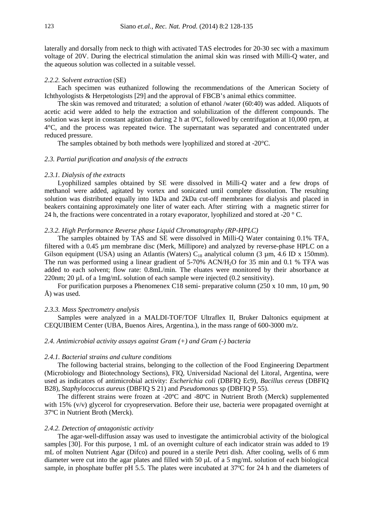laterally and dorsally from neck to thigh with activated TAS electrodes for 20-30 sec with a maximum voltage of 20V. During the electrical stimulation the animal skin was rinsed with Milli-Q water, and the aqueous solution was collected in a suitable vessel.

# *2.2.2. Solvent extraction* (SE)

Each specimen was euthanized following the recommendations of the American Society of Ichthyologists & Herpetologists [29] and the approval of FBCB's animal ethics committee.

The skin was removed and triturated; a solution of ethanol /water (60:40) was added. Aliquots of acetic acid were added to help the extraction and solubilization of the different compounds. The solution was kept in constant agitation during 2 h at 0ºC, followed by centrifugation at 10,000 rpm, at 4°C, and the process was repeated twice. The supernatant was separated and concentrated under reduced pressure.

The samples obtained by both methods were lyophilized and stored at -20°C.

#### *2.3. Partial purification and analysis of the extracts*

# *2.3.1. Dialysis of the extracts*

Lyophilized samples obtained by SE were dissolved in Milli-Q water and a few drops of methanol were added, agitated by vortex and sonicated until complete dissolution. The resulting solution was distributed equally into 1kDa and 2kDa cut-off membranes for dialysis and placed in beakers containing approximately one liter of water each. After stirring with a magnetic stirrer for 24 h, the fractions were concentrated in a rotary evaporator, lyophilized and stored at -20  $\degree$  C.

# *2.3.2. High Performance Reverse phase Liquid Chromatography (RP-HPLC)*

The samples obtained by TAS and SE were dissolved in Milli-Q Water containing 0.1% TFA, filtered with a 0.45 µm membrane disc (Merk, Millipore) and analyzed by reverse-phase HPLC on a Gilson equipment (USA) using an Atlantis (Waters)  $C_{18}$  analytical column (3 µm, 4.6 ID x 150mm). The run was performed using a linear gradient of 5-70% ACN/H<sub>2</sub>O for 35 min and 0.1 % TFA was added to each solvent; flow rate: 0.8mL/min. The eluates were monitored by their absorbance at 220nm; 20 µL of a 1mg/mL solution of each sample were injected (0.2 sensitivity).

For purification purposes a Phenomenex C18 semi- preparative column  $(250 \times 10 \text{ mm}, 10 \text{ mm}, 90 \text{ mm})$ Å) was used.

#### *2.3.3. Mass Spectrometry analysis*

Samples were analyzed in a MALDI-TOF/TOF Ultraflex II, Bruker Daltonics equipment at CEQUIBIEM Center (UBA, Buenos Aires, Argentina.), in the mass range of 600-3000 m/z.

# *2.4. Antimicrobial activity assays against Gram (+) and Gram (-) bacteria*

#### *2.4.1. Bacterial strains and culture conditions*

The following bacterial strains, belonging to the collection of the Food Engineering Department (Microbiology and Biotechnology Sections), FIQ, Universidad Nacional del Litoral, Argentina, were used as indicators of antimicrobial activity: *Escherichia coli* (DBFIQ Ec9)*, Bacillus cereus* (DBFIQ B28)*, Staphylococcus aureus* (DBFIQ S 21) and *Pseudomonas* sp (DBFIQ P 55).

The different strains were frozen at -20ºC and -80ºC in Nutrient Broth (Merck) supplemented with 15% (v/v) glycerol for cryopreservation. Before their use, bacteria were propagated overnight at 37ºC in Nutrient Broth (Merck).

# *2.4.2. Detection of antagonistic activity*

The agar-well-diffusion assay was used to investigate the antimicrobial activity of the biological samples [30]. For this purpose, 1 mL of an overnight culture of each indicator strain was added to 19 mL of molten Nutrient Agar (Difco) and poured in a sterile Petri dish. After cooling, wells of 6 mm diameter were cut into the agar plates and filled with 50 µL of a 5 mg/mL solution of each biological sample, in phosphate buffer pH 5.5. The plates were incubated at 37ºC for 24 h and the diameters of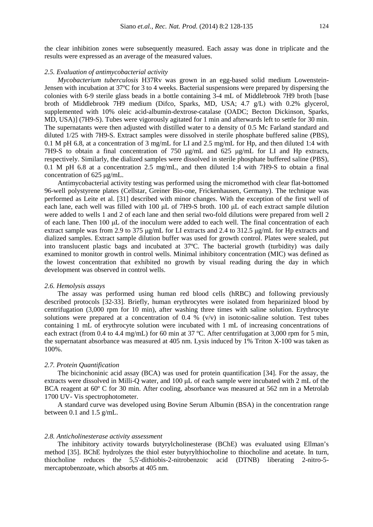the clear inhibition zones were subsequently measured. Each assay was done in triplicate and the results were expressed as an average of the measured values.

# *2.5. Evaluation of antimycobacterial activity*

*Mycobacterium tuberculosis* H37Rv was grown in an egg-based solid medium Lowenstein-Jensen with incubation at 37ºC for 3 to 4 weeks. Bacterial suspensions were prepared by dispersing the colonies with 6-9 sterile glass beads in a bottle containing 3-4 mL of Middlebrook 7H9 broth [base broth of Middlebrook 7H9 medium (Difco, Sparks, MD, USA; 4.7 g/L) with 0.2% glycerol, supplemented with 10% oleic acid-albumin-dextrose-catalase (OADC; Becton Dickinson, Sparks, MD, USA)] (7H9-S). Tubes were vigorously agitated for 1 min and afterwards left to settle for 30 min. The supernatants were then adjusted with distilled water to a density of 0.5 Mc Farland standard and diluted 1/25 with 7H9-S. Extract samples were dissolved in sterile phosphate buffered saline (PBS), 0.1 M pH 6.8, at a concentration of 3 mg/mL for LI and 2.5 mg/mL for Hp, and then diluted 1:4 with 7H9-S to obtain a final concentration of 750  $\mu$ g/mL and 625  $\mu$ g/mL for LI and Hp extracts, respectively. Similarly, the dialized samples were dissolved in sterile phosphate buffered saline (PBS), 0.1 M pH 6.8 at a concentration 2.5 mg/mL, and then diluted 1:4 with 7H9-S to obtain a final concentration of 625 µg/mL.

Antimycobacterial activity testing was performed using the micromethod with clear flat-bottomed 96-well polystyrene plates (Cellstar, Greiner Bio-one, Frickenhausen, Germany). The technique was performed as Leite et al. [31] described with minor changes. With the exception of the first well of each lane, each well was filled with 100  $\mu$ L of 7H9-S broth. 100  $\mu$ L of each extract sample dilution were added to wells 1 and 2 of each lane and then serial two-fold dilutions were prepared from well 2 of each lane. Then 100 µL of the inoculum were added to each well. The final concentration of each extract sample was from 2.9 to 375 µg/mL for LI extracts and 2.4 to 312.5 µg/mL for Hp extracts and dialized samples. Extract sample dilution buffer was used for growth control. Plates were sealed, put into translucent plastic bags and incubated at 37ºC. The bacterial growth (turbidity) was daily examined to monitor growth in control wells. Minimal inhibitory concentration (MIC) was defined as the lowest concentration that exhibited no growth by visual reading during the day in which development was observed in control wells.

# *2.6. Hemolysis assays*

The assay was performed using human red blood cells (hRBC) and following previously described protocols [32-33]. Briefly, human erythrocytes were isolated from heparinized blood by centrifugation (3,000 rpm for 10 min), after washing three times with saline solution. Erythrocyte solutions were prepared at a concentration of 0.4 %  $(v/v)$  in isotonic-saline solution. Test tubes containing 1 mL of erythrocyte solution were incubated with 1 mL of increasing concentrations of each extract (from 0.4 to 4.4 mg/mL) for 60 min at 37 °C. After centrifugation at 3,000 rpm for 5 min. the supernatant absorbance was measured at 405 nm. Lysis induced by 1% Triton X-100 was taken as 100%.

# *2.7. Protein Quantification*

The bicinchoninic acid assay (BCA) was used for protein quantification [34]. For the assay, the extracts were dissolved in Milli-O water, and 100  $\mu$ L of each sample were incubated with 2 mL of the BCA reagent at 60° C for 30 min. After cooling, absorbance was measured at 562 nm in a Metrolab 1700 UV- Vis spectrophotometer.

A standard curve was developed using Bovine Serum Albumin (BSA) in the concentration range between 0.1 and 1.5 g/mL.

#### *2.8. Anticholinesterase activity assessment*

The inhibitory activity towards butyrylcholinesterase (BChE) was evaluated using Ellman's method [35]. BChE hydrolyzes the thiol ester butyrylthiocholine to thiocholine and acetate. In turn, thiocholine reduces the 5,5'-dithiobis-2-nitrobenzoic acid (DTNB) liberating 2-nitro-5 mercaptobenzoate, which absorbs at 405 nm.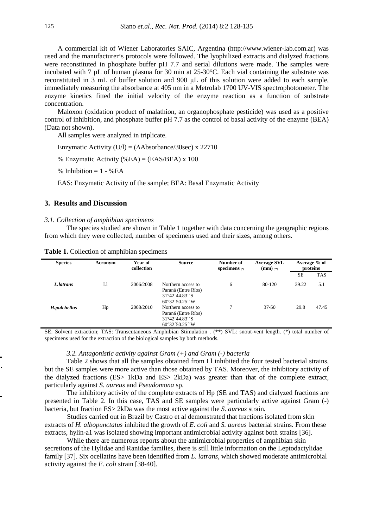A commercial kit of Wiener Laboratories SAIC, Argentina (http://www.wiener-lab.com.ar) was used and the manufacturer's protocols were followed. The lyophilized extracts and dialyzed fractions were reconstituted in phosphate buffer pH 7.7 and serial dilutions were made. The samples were incubated with 7 µL of human plasma for 30 min at 25-30°C. Each vial containing the substrate was reconstituted in 3 mL of buffer solution and 900 µL of this solution were added to each sample, immediately measuring the absorbance at 405 nm in a Metrolab 1700 UV-VIS spectrophotometer. The enzyme kinetics fitted the initial velocity of the enzyme reaction as a function of substrate concentration.

Maloxon (oxidation product of malathion, an organophosphate pesticide) was used as a positive control of inhibition, and phosphate buffer pH 7.7 as the control of basal activity of the enzyme (BEA) (Data not shown).

All samples were analyzed in triplicate.

Enzymatic Activity (U/l) =  $(\Delta Absorbance/30sec)$  x 22710

% Enzymatic Activity (%EA) = (EAS/BEA) x 100

% Inhibition  $= 1 - %EA$ 

EAS: Enzymatic Activity of the sample; BEA: Basal Enzymatic Activity

# **3. Results and Discussion**

## *3.1. Collection of amphibian specimens*

The species studied are shown in Table 1 together with data concerning the geographic regions from which they were collected, number of specimens used and their sizes, among others.

| <b>Species</b> | Acronym | Year of<br>collection | <b>Source</b>                                                                         | Number of<br>specimens $\left( \cdot \right)$ | <b>Average SVL</b><br>$(\mathbf{mm})$ (**) | Average % of<br>proteins |            |  |  |
|----------------|---------|-----------------------|---------------------------------------------------------------------------------------|-----------------------------------------------|--------------------------------------------|--------------------------|------------|--|--|
|                |         |                       |                                                                                       |                                               |                                            | <b>SE</b>                | <b>TAS</b> |  |  |
| L. latrans     | Ll      | 2006/2008             | Northern access to<br>Paraná (Entre Ríos)<br>31°42′44.83″S<br>$60^{\circ}32'50.25''W$ | 6                                             | 80-120                                     | 39.22                    | 5.1        |  |  |
| H.pulchellus   | Hp      | 2008/2010             | Northern access to<br>Paraná (Entre Ríos)<br>31°42′44.83″S<br>$60^{\circ}32'50.25''W$ |                                               | $37 - 50$                                  | 29.8                     | 47.45      |  |  |

**Table 1.** Collection of amphibian specimens

SE: Solvent extraction; TAS: Transcutaneous Amphibian Stimulation . (\*\*) SVL: snout-vent length. (\*) total number of specimens used for the extraction of the biological samples by both methods.

# *3.2. Antagonistic activity against Gram (+) and Gram (-) bacteria*

Table 2 shows that all the samples obtained from Ll inhibited the four tested bacterial strains, but the SE samples were more active than those obtained by TAS. Moreover, the inhibitory activity of the dialyzed fractions (ES> 1kDa and ES> 2kDa) was greater than that of the complete extract, particularly against *S. aureus* and *Pseudomona* sp.

The inhibitory activity of the complete extracts of Hp (SE and TAS) and dialyzed fractions are presented in Table 2. In this case, TAS and SE samples were particularly active against Gram (-) bacteria, but fraction ES> 2kDa was the most active against the *S. aureus* strain*.* 

Studies carried out in Brazil by Castro et al demonstrated that fractions isolated from skin extracts of *H. albopunctatus* inhibited the growth of *E. coli* and *S. aureus* bacterial strains. From these extracts, hylin-a1 was isolated showing important antimicrobial activity against both strains [36].

While there are numerous reports about the antimicrobial properties of amphibian skin secretions of the Hylidae and Ranidae families, there is still little information on the Leptodactylidae family [37]. Six ocellatins have been identified from *L. latrans*, which showed moderate antimicrobial activity against the *E. coli* strain [38-40].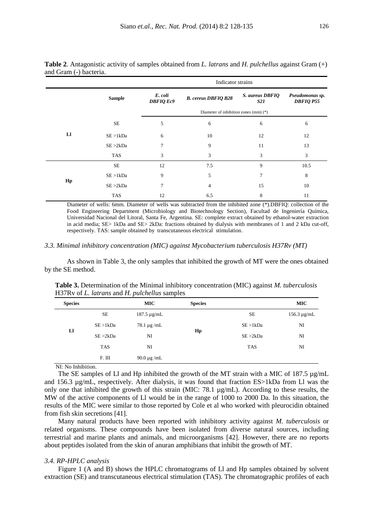|    |               |                             | Indicator strains             |                                     |      |  |  |  |  |  |  |  |  |  |
|----|---------------|-----------------------------|-------------------------------|-------------------------------------|------|--|--|--|--|--|--|--|--|--|
|    | <b>Sample</b> | E. coli<br><b>DBFIQ Ec9</b> | S. aureus DBFIQ<br><i>S21</i> | Pseudomonas sp.<br><b>DBFIQ P55</b> |      |  |  |  |  |  |  |  |  |  |
|    |               |                             |                               |                                     |      |  |  |  |  |  |  |  |  |  |
|    | SE            | 5                           | 6                             | 6                                   | 6    |  |  |  |  |  |  |  |  |  |
| Ll | SE > 1kDa     | 6                           | 10                            | 12                                  | 12   |  |  |  |  |  |  |  |  |  |
|    | SE > 2kDa     | 7                           | 9                             | 11                                  | 13   |  |  |  |  |  |  |  |  |  |
|    | <b>TAS</b>    | 3                           | 3                             | 3                                   | 3    |  |  |  |  |  |  |  |  |  |
|    | <b>SE</b>     | 12                          | 7.5                           | 9                                   | 10.5 |  |  |  |  |  |  |  |  |  |
|    | SE > 1kDa     | 9                           | 5                             | 7                                   | 8    |  |  |  |  |  |  |  |  |  |
| Hp | SE > 2kDa     | 7                           | 4                             | 15                                  | 10   |  |  |  |  |  |  |  |  |  |
|    | <b>TAS</b>    | 12                          | 6.5                           | 8                                   | 11   |  |  |  |  |  |  |  |  |  |

**Table 2**. Antagonistic activity of samples obtained from *L. latrans* and *H. pulchellus* against Gram (+) and Gram (-) bacteria.

Diameter of wells: 6mm. Diameter of wells was subtracted from the inhibited zone (\*).DBFIQ: collection of the Food Engineering Department (Microbiology and Biotechnology Section), Facultad de Ingeniería Química, Universidad Nacional del Litoral, Santa Fe, Argentina. SE: complete extract obtained by ethanol-water extraction in acid media; SE> 1kDa and SE> 2kDa: fractions obtained by dialysis with membranes of 1 and 2 kDa cut-off, respectively. TAS: sample obtained by transcutaneous electrical stimulation.

#### *3.3. Minimal inhibitory concentration (MIC) against Mycobacterium tuberculosis H37Rv (MT)*

As shown in Table 3, the only samples that inhibited the growth of MT were the ones obtained by the SE method.

| <b>Species</b> |            | <b>MIC</b>                   | <b>Species</b> |            | <b>MIC</b>       |
|----------------|------------|------------------------------|----------------|------------|------------------|
| Ll             | <b>SE</b>  | $187.5 \mu g/mL$             |                | <b>SE</b>  | $156.3 \mu g/mL$ |
|                | SE > 1kDa  | $78.1 \,\mathrm{\upmu g/mL}$ |                | SE > 1kDa  | NI               |
|                | SE > 2kDa  | NI                           | Hp             | SE > 2kDa  | NI               |
|                | <b>TAS</b> | NI                           |                | <b>TAS</b> | NI               |
|                | F. III     | $90.0 \,\mathrm{\upmu g/mL}$ |                |            |                  |
|                |            |                              |                |            |                  |

**Table 3.** Determination of the Minimal inhibitory concentration (MIC) against *M. tuberculosis*  H37Rv of *L. latrans* and *H. pulchellus* samples

NI: No Inhibition.

The SE samples of Ll and Hp inhibited the growth of the MT strain with a MIC of 187.5  $\mu$ g/mL and 156.3 µg/mL, respectively. After dialysis, it was found that fraction ES>1kDa from Ll was the only one that inhibited the growth of this strain (MIC: 78.1 µg/mL). According to these results, the MW of the active components of Ll would be in the range of 1000 to 2000 Da. In this situation, the results of the MIC were similar to those reported by Cole et al who worked with pleurocidin obtained from fish skin secretions [41].

Many natural products have been reported with inhibitory activity against *M. tuberculosis* or related organisms. These compounds have been isolated from diverse natural sources, including terrestrial and marine plants and animals, and microorganisms [42]. However, there are no reports about peptides isolated from the skin of anuran amphibians that inhibit the growth of MT.

#### *3.4. RP-HPLC analysis*

Figure 1 (A and B) shows the HPLC chromatograms of Ll and Hp samples obtained by solvent extraction (SE) and transcutaneous electrical stimulation (TAS). The chromatographic profiles of each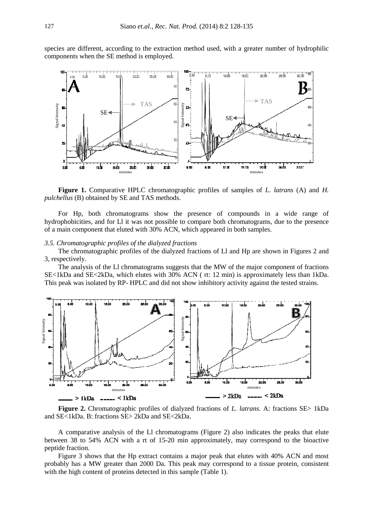species are different, according to the extraction method used, with a greater number of hydrophilic components when the SE method is employed.



**Figure 1.** Comparative HPLC chromatographic profiles of samples of *L. latrans* (A) and *H. pulchellus* (B) obtained by SE and TAS methods.

For Hp, both chromatograms show the presence of compounds in a wide range of hydrophobicities, and for Ll it was not possible to compare both chromatograms, due to the presence of a main component that eluted with 30% ACN, which appeared in both samples.

# *3.5. Chromatographic profiles of the dialyzed fractions*

The chromatographic profiles of the dialyzed fractions of Ll and Hp are shown in Figures 2 and 3, respectively*.*

The analysis of the Ll chromatograms suggests that the MW of the major component of fractions SE<1kDa and SE<2kDa, which elutes with 30% ACN ( rt: 12 min) is approximately less than 1kDa. This peak was isolated by RP- HPLC and did not show inhibitory activity against the tested strains.



**Figure 2.** Chromatographic profiles of dialyzed fractions of *L. latrans*. A: fractions SE> 1kDa and SE<1kDa. B: fractions SE> 2kDa and SE<2kDa.

A comparative analysis of the Ll chromatograms (Figure 2) also indicates the peaks that elute between 38 to 54% ACN with a rt of 15-20 min approximately, may correspond to the bioactive peptide fraction.

Figure 3 shows that the Hp extract contains a major peak that elutes with 40% ACN and most probably has a MW greater than 2000 Da. This peak may correspond to a tissue protein, consistent with the high content of proteins detected in this sample (Table 1).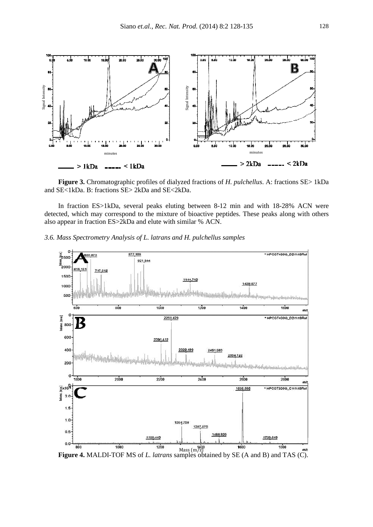

**Figure 3.** Chromatographic profiles of dialyzed fractions of *H. pulchellus*. A: fractions SE> 1kDa and SE<1kDa. B: fractions SE> 2kDa and SE<2kDa.

In fraction ES>1kDa, several peaks eluting between 8-12 min and with 18-28% ACN were detected, which may correspond to the mixture of bioactive peptides. These peaks along with others also appear in fraction ES>2kDa and elute with similar % ACN.





**Figure 4.** MALDI-TOF MS of *L. latrans* samples obtained by SE (A and B) and TAS (C).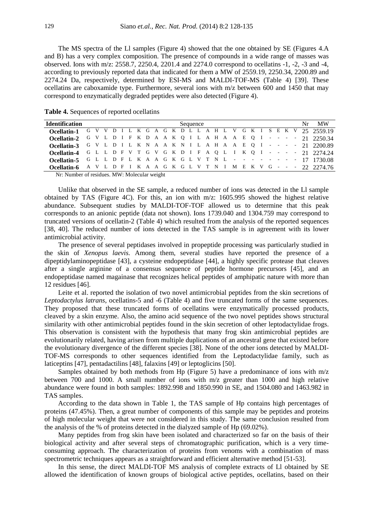The MS spectra of the Ll samples (Figure 4) showed that the one obtained by SE (Figures 4.A and B) has a very complex composition. The presence of compounds in a wide range of masses was observed. Ions with m/z: 2558.7, 2250.4, 2201.4 and 2274.0 correspond to ocellatins -1, -2, -3 and -4, according to previously reported data that indicated for them a MW of 2559.19, 2250.34, 2200.89 and 2274.24 Da, respectively, determined by ESI-MS and MALDI-TOF-MS (Table 4) [39]. These ocellatins are caboxamide type. Furthermore, several ions with m/z between 600 and 1450 that may correspond to enzymatically degraded peptides were also detected (Figure 4).

| <b>Identification</b>                                                                                                                                                                                                                                                                                                                          |  |  |  |  |  |  | Sequence |  |  |  |  |  |  | $Nr$ MW |
|------------------------------------------------------------------------------------------------------------------------------------------------------------------------------------------------------------------------------------------------------------------------------------------------------------------------------------------------|--|--|--|--|--|--|----------|--|--|--|--|--|--|---------|
| <b>Ocellatin-1</b> G V V D I L K G A G K D L L A H L V G K I S E K V 25 2559.19                                                                                                                                                                                                                                                                |  |  |  |  |  |  |          |  |  |  |  |  |  |         |
| <b>Ocellatin-2</b> G V L D I F K D A A K Q I L A H A A E Q I - - - - - 21 2250.34                                                                                                                                                                                                                                                              |  |  |  |  |  |  |          |  |  |  |  |  |  |         |
| Ocellatin-3 G V L D I L K N A A K N I L A H A A E Q I - - - - 21 2200.89                                                                                                                                                                                                                                                                       |  |  |  |  |  |  |          |  |  |  |  |  |  |         |
| <b>Ocellatin-4</b> G L L D F V T G V G K D I F A Q L I K Q I - - - - 21 2274.24                                                                                                                                                                                                                                                                |  |  |  |  |  |  |          |  |  |  |  |  |  |         |
| <b>Ocellatin-5</b> G L L D F L K A A G K G L V T N L $        -$ 17 1730.08                                                                                                                                                                                                                                                                    |  |  |  |  |  |  |          |  |  |  |  |  |  |         |
| <b>Ocellatin-6</b> A V L D F I K A A G K G L V T N I M E K V G - - - 22 2274.76                                                                                                                                                                                                                                                                |  |  |  |  |  |  |          |  |  |  |  |  |  |         |
| $\mathbf{M}_{11}$ $\mathbf{M}_{21}$ $\mathbf{M}_{31}$ $\mathbf{M}_{41}$ $\mathbf{M}_{51}$ $\mathbf{M}_{61}$ $\mathbf{M}_{71}$ $\mathbf{M}_{81}$ $\mathbf{M}_{91}$ $\mathbf{M}_{10}$ $\mathbf{M}_{11}$ $\mathbf{M}_{12}$ $\mathbf{M}_{13}$ $\mathbf{M}_{14}$ $\mathbf{M}_{15}$ $\mathbf{M}_{16}$ $\mathbf{M}_{17}$ $\mathbf{M}_{18}$ $\mathbf{$ |  |  |  |  |  |  |          |  |  |  |  |  |  |         |

**Table 4.** Sequences of reported ocellatins

Nr: Number of residues. MW: Molecular weight

Unlike that observed in the SE sample, a reduced number of ions was detected in the Ll sample obtained by TAS (Figure 4C). For this, an ion with  $m/z$ : 1605.995 showed the highest relative abundance. Subsequent studies by MALDI-TOF-TOF allowed us to determine that this peak corresponds to an anionic peptide (data not shown). Ions 1739.040 and 1304.759 may correspond to truncated versions of ocellatin-2 (Table 4) which resulted from the analysis of the reported sequences [38, 40]. The reduced number of ions detected in the TAS sample is in agreement with its lower antimicrobial activity.

The presence of several peptidases involved in propeptide processing was particularly studied in the skin of *Xenopus laevis.* Among them, several studies have reported the presence of a dipeptidylaminopeptidase [43], a cysteine endopeptidase [44], a highly specific protease that cleaves after a single arginine of a consensus sequence of peptide hormone precursors [45], and an endopeptidase named magainase that recognizes helical peptides of amphipatic nature with more than 12 residues [46].

Leite et al. reported the isolation of two novel antimicrobial peptides from the skin secretions of *Leptodactylus latrans*, ocellatins-5 and -6 (Table 4) and five truncated forms of the same sequences. They proposed that these truncated forms of ocellatins were enzymatically processed products, cleaved by a skin enzyme. Also, the amino acid sequence of the two novel peptides shows structural similarity with other antimicrobial peptides found in the skin secretion of other leptodactylidae frogs. This observation is consistent with the hypothesis that many frog skin antimicrobial peptides are evolutionarily related, having arisen from multiple duplications of an ancestral gene that existed before the evolutionary divergence of the different species [38]. None of the other ions detected by MALDI-TOF-MS corresponds to other sequences identified from the Leptodactylidae family, such as laticeptins [47], pentadactilins [48], falaxins [49] or leptoglicins [50].

Samples obtained by both methods from Hp (Figure 5) have a predominance of ions with m/z between 700 and 1000. A small number of ions with m/z greater than 1000 and high relative abundance were found in both samples: 1892.998 and 1850.990 in SE, and 1504.080 and 1463.982 in TAS samples.

According to the data shown in Table 1, the TAS sample of Hp contains high percentages of proteins (47.45%). Then, a great number of components of this sample may be peptides and proteins of high molecular weight that were not considered in this study. The same conclusion resulted from the analysis of the % of proteins detected in the dialyzed sample of Hp (69.02%).

Many peptides from frog skin have been isolated and characterized so far on the basis of their biological activity and after several steps of chromatographic purification, which is a very timeconsuming approach. The characterization of proteins from venoms with a combination of mass spectrometric techniques appears as a straightforward and efficient alternative method [51-53].

In this sense, the direct MALDI-TOF MS analysis of complete extracts of Ll obtained by SE allowed the identification of known groups of biological active peptides, ocellatins, based on their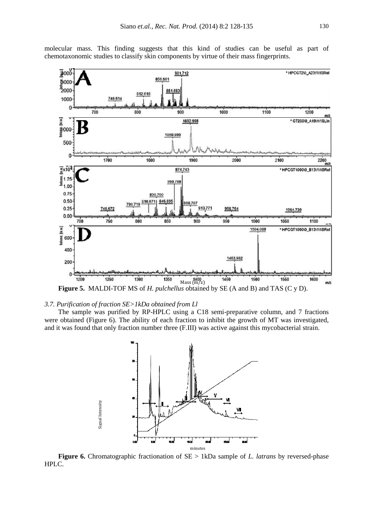

molecular mass. This finding suggests that this kind of studies can be useful as part of chemotaxonomic studies to classify skin components by virtue of their mass fingerprints.

# *3.7. Purification of fraction SE>1kDa obtained from Ll*

The sample was purified by RP-HPLC using a C18 semi-preparative column, and 7 fractions were obtained (Figure 6). The ability of each fraction to inhibit the growth of MT was investigated, and it was found that only fraction number three (F.III) was active against this mycobacterial strain.



**Figure 6.** Chromatographic fractionation of SE > 1kDa sample of *L. latrans* by reversed-phase HPLC.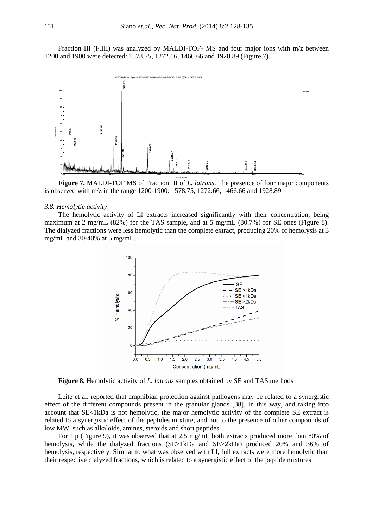Fraction III (F.III) was analyzed by MALDI-TOF- MS and four major ions with m/z between 1200 and 1900 were detected: 1578.75, 1272.66, 1466.66 and 1928.89 (Figure 7).



**Figure 7.** MALDI-TOF MS of Fraction III of *L. latrans*. The presence of four major components is observed with m/z in the range 1200-1900: 1578.75, 1272.66, 1466.66 and 1928.89

#### *3.8. Hemolytic activity*

The hemolytic activity of Ll extracts increased significantly with their concentration, being maximum at 2 mg/mL (82%) for the TAS sample, and at 5 mg/mL (80.7%) for SE ones (Figure 8). The dialyzed fractions were less hemolytic than the complete extract, producing 20% of hemolysis at 3 mg/mL and 30-40% at 5 mg/mL.



**Figure 8.** Hemolytic activity of *L. latrans* samples obtained by SE and TAS methods

Leite et al. reported that amphibian protection against pathogens may be related to a synergistic effect of the different compounds present in the granular glands [38]. In this way, and taking into account that SE<1kDa is not hemolytic, the major hemolytic activity of the complete SE extract is related to a synergistic effect of the peptides mixture, and not to the presence of other compounds of low MW, such as alkaloids, amines, steroids and short peptides.

For Hp (Figure 9), it was observed that at 2.5 mg/mL both extracts produced more than 80% of hemolysis, while the dialyzed fractions (SE>1kDa and SE>2kDa) produced 20% and 36% of hemolysis, respectively. Similar to what was observed with Ll, full extracts were more hemolytic than their respective dialyzed fractions, which is related to a synergistic effect of the peptide mixtures.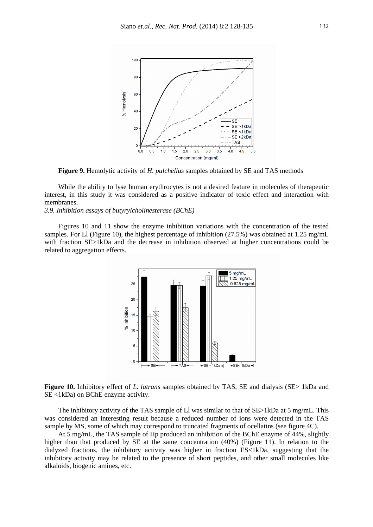

**Figure 9.** Hemolytic activity of *H. pulchellus* samples obtained by SE and TAS methods

While the ability to lyse human erythrocytes is not a desired feature in molecules of therapeutic interest, in this study it was considered as a positive indicator of toxic effect and interaction with membranes.

*3.9. Inhibition assays of butyrylcholinesterase (BChE)* 

Figures 10 and 11 show the enzyme inhibition variations with the concentration of the tested samples. For Ll (Figure 10), the highest percentage of inhibition (27.5%) was obtained at 1.25 mg/mL with fraction SE>1kDa and the decrease in inhibition observed at higher concentrations could be related to aggregation effects.



**Figure 10.** Inhibitory effect of *L. latrans* samples obtained by TAS, SE and dialysis (SE> 1kDa and SE <1kDa) on BChE enzyme activity.

The inhibitory activity of the TAS sample of Ll was similar to that of SE>1kDa at 5 mg/mL. This was considered an interesting result because a reduced number of ions were detected in the TAS sample by MS, some of which may correspond to truncated fragments of ocellatins (see figure 4C).

At 5 mg/mL, the TAS sample of Hp produced an inhibition of the BChE enzyme of 44%, slightly higher than that produced by SE at the same concentration (40%) (Figure 11). In relation to the dialyzed fractions, the inhibitory activity was higher in fraction ES<1kDa, suggesting that the inhibitory activity may be related to the presence of short peptides, and other small molecules like alkaloids, biogenic amines, etc.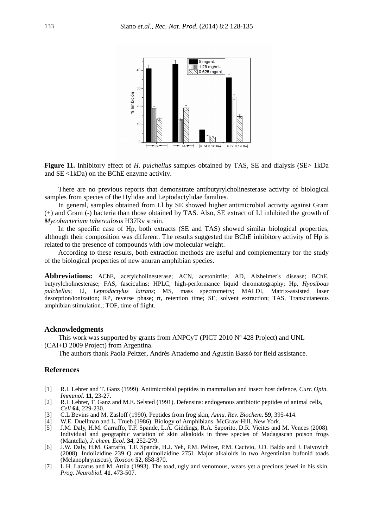

**Figure 11.** Inhibitory effect of *H. pulchellus* samples obtained by TAS, SE and dialysis (SE> 1kDa and SE <1kDa) on the BChE enzyme activity.

There are no previous reports that demonstrate antibutyrylcholinesterase activity of biological samples from species of the Hylidae and Leptodactylidae families.

In general, samples obtained from Ll by SE showed higher antimicrobial activity against Gram (+) and Gram (-) bacteria than those obtained by TAS. Also, SE extract of Ll inhibited the growth of *Mycobacterium tuberculosis* H37Rv strain.

In the specific case of Hp, both extracts (SE and TAS) showed similar biological properties, although their composition was different. The results suggested the BChE inhibitory activity of Hp is related to the presence of compounds with low molecular weight.

According to these results, both extraction methods are useful and complementary for the study of the biological properties of new anuran amphibian species.

**Abbreviations:** AChE, acetylcholinesterase; ACN, acetonitrile; AD, Alzheimer's disease; BChE, butyrylcholinesterase; FAS, fasciculins; HPLC, high-performance liquid chromatography; Hp, *Hypsiboas pulchellus*; Ll, *Leptodactylus latrans*; MS, mass spectrometry; MALDI, Matrix-assisted laser desorption/ionization; RP, reverse phase; rt, retention time; SE, solvent extraction; TAS, Transcutaneous amphibian stimulation.; TOF, time of flight.

## **Acknowledgments**

This work was supported by grants from ANPCyT (PICT 2010 Nº 428 Project) and UNL (CAI+D 2009 Project) from Argentina.

The authors thank Paola Peltzer, Andrés Attademo and Agustín Bassó for field assistance.

# **References**

- [1] R.I. Lehrer and T. Ganz (1999). Antimicrobial peptides in mammalian and insect host defence, *Curr. Opin. Immunol.* **11**, 23-27.
- [2] R.I. Lehrer, T. Ganz and M.E. Selsted (1991). Defensins: endogenous antibiotic peptides of animal cells, *Cell* **64**, 229-230.
- [3] C.L Bevins and M. Zasloff (1990). Peptides from frog skin, *Annu. Rev. Biochem*. **59**, 395-414.
- [4] W.E. Duellman and L. Trueb (1986). Biology of Amphibians. McGraw-Hill, New York.
- [5] J.M. Daly, H.M. Garraffo, T.F. Spande, L.A. Giddings, R.A. Saporito, D.R. Vieites and M. Vences (2008). Individual and geographic variation of skin alkaloids in three species of Madagascan poison frogs (Mantella), *J. chem. Ecol*. **34**, 252-279.
- [6] J.W. Daly, H.M. Garraffo, T.F. Spande, H.J. Yeh, P.M. Peltzer, P.M. Cacivio, J.D. Baldo and J. Faivovich (2008). Indolizidine 239 Q and quinolizidine 275I. Major alkaloids in two Argentinian bufonid toads (Melanophryniscus), *Toxicon* **52**, 858-870.
- [7] L.H. Lazarus and M. Attila (1993). The toad, ugly and venomous, wears yet a precious jewel in his skin, *Prog. Neurobiol.* **41**, 473-507.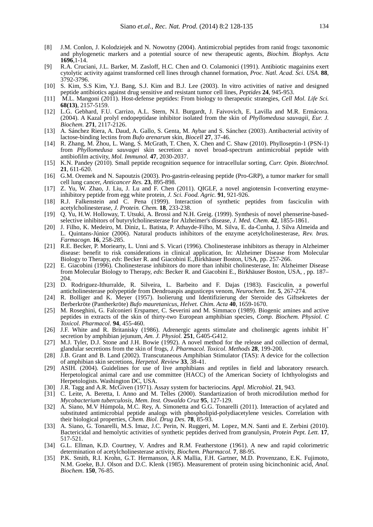- [8] J.M. Conlon, J. Kolodziejek and N. Nowotny (2004). Antimicrobial peptides from ranid frogs: taxonomic and phylogenetic markers and a potential source of new therapeutic agents, *Biochim. Biophys. Acta* **1696**,1-14.
- [9] R.A. Cruciani, J.L. Barker, M. Zasloff, H.C. Chen and O. Colamonici (1991). Antibiotic magainins exert cytolytic activity against transformed cell lines through channel formation, *Proc. Natl. Acad. Sci. USA*. **88**, 3792-3796.
- [10] S. Kim, S.S Kim, Y.J. Bang, S.J. Kim and B.J. Lee (2003). In vitro activities of native and designed peptide antibiotics against drug sensitive and resistant tumor cell lines, *Peptides* **24**, 945-953.
- [11] M.L. Mangoni (2011). Host-defense peptides: From biology to therapeutic strategies, *Cell Mol. Life Sci.* **68(13)**, 2157-5159.
- [12] L.G. Gebhard, F.U. Carrizo, A.L. Stern, N.I. Burgardt, J. Faivovich, E. Lavilla and M.R. Ermácora. (2004). A Kazal prolyl endopeptidase inhibitor isolated from the skin of *Phyllomedusa sauvagii*, *Eur. J. Biochem.* **271**, 2117-2126.
- [13] A. Sánchez Riera, A. Daud, A. Gallo, S. Genta, M. Aybar and S. Sánchez (2003). Antibacterial activity of lactose-binding lectins from *Bufo arenarum* skin, *Biocell* **27**, 37-46.
- [14] R. Zhang, M. Zhou, L. Wang, S. McGrath, T. Chen, X. Chen and C. Shaw (2010). Phylloseptin-1 (PSN-1) from *Phyllomedusa sauvagei* skin secretion: a novel broad-spectrum antimicrobial peptide with antibiofilm activity, *Mol. Immunol.* **47**, 2030-2037.
- [15] K.N. Pandey (2010). Small peptide recognition sequence for intracellular sorting, *Curr. Opin*. *Biotechnol.* **21**, 611-620.
- [16] G.M. Oremek and N. Sapoutzis (2003). Pro-gastrin-releasing peptide (Pro-GRP), a tumor marker for small cell lung cancer, *Anticancer Res.* **23**, 895-898.
- [17] Z. Yu, W. Zhao, J. Liu, J. Lu and F. Chen (2011). QIGLF, a novel angiotensin I-converting enzymeinhibitory peptide from egg white protein, *J. Sci. Food. Agric.* **91**, 921-926.
- [18] R.J. Falkenstein and C. Pena (1999). Interaction of synthetic peptides from fasciculin with acetylcholinesterase, *J. Protein. Chem.* **18**, 233-238.
- [19] Q. Yu, H.W. Holloway, T. Utsuki, A. Brossi and N.H. Greig. (1999). Synthesis of novel phenserine-basedselective inhibitors of butyrylcholinesterase for Alzheimer's disease, *J. Med. Chem.* **42**, 1855-1861.
- [20] J. Filho, K. Medeiro, M. Diniz, L. Batista, P. Athayde-Filho, M. Silva, E. da-Cunha, J. Silva Almeida and L. Quintans-Júnior (2006). Natural products inhibitors of the enzyme acetylcholinesterase, *Rev. bras. Farmacogn.* **16**, 258-285.
- [21] R.E. Becker, P. Moriearty, L. Unni and S. Vicari (1996). Cholinesterase inhibitors as therapy in Alzheimer disease: benefit to risk considerations in clinical application, In: Alzheimer Disease from Molecular Biology to Therapy, *eds*: Becker R. and Giacobini E.,Birkhäuser Boston, USA, pp. 257-266.
- [22] E. Giacobini (1996). Cholinesterase inhibitors do more than inhibit cholinesterase, In: Alzheimer Disease from Molecular Biology to Therapy, *eds*: Becker R. and Giacobini E., Birkhäuser Boston, USA, , pp. 187– 204.
- [23] D. Rodriguez-Ithurralde, R. Silveira, L. Barbeito and F. Dajas (1983). Fasciculin, a powerful anticholinesterase polypeptide from Dendroaspis angusticeps venom, *Neurochem. Int.* **5**, 267-274.
- [24] R. Bolliger and K. Meyer (1957). Isolierung und Identifizierung der Steroide des Giftsekretes der Berberkröte (Pantherkröte) *Bufo mauretanicus*, *Helvet. Chim. Acta* **40**, 1659-1670.
- [25] M. Roseghini, G. Falconieri Erspamer, C. Severini and M. Simmaco (1989). Biogenic amines and active peptides in extracts of the skin of thirty-two European amphibian species, *Comp. Biochem. Physiol. C Toxicol. Pharmacol*. **94**, 455-460.
- [26] J.F. White and R. Britanisky (1986). Adrenergic agents stimulate and cholinergic agents inhibit  $H^+$ secretion by amphibian jejunum, *Am. J. Physiol.* **251**, G405-G412.
- [27] M.J. Tyler, D.J. Stone and J.H. Bowie (1992). A novel method for the release and collection of dermal, glandular secretions from the skin of frogs, *J. Pharmacol. Toxicol. Methods* **28**, 199-200.
- [28] J.B. Grant and B. Land (2002). Transcutaneous Amphibian Stimulator (TAS): A device for the collection of amphibian skin secretions, *Herpetol. Review* **33**, 38-41.
- [29] ASIH. (2004). Guidelines for use of live amphibians and reptiles in field and laboratory research. Herpetological animal care and use committee (HACC) of the American Society of Ichthyologists and Herpetologists. Washington DC, USA.
- [30] J.R. Tagg and A.R. McGiven (1971). Assay system for bacteriocins*. Appl. Microbiol*. **21**, 943.
- [31] C. Leite, A. Beretta, I. Anno and M. Telles (2000). Standartization of broth microdilution method for *Mycobacterium tuberculosis*, *Mem. Inst. Oswaldo Cruz* **95**, 127-129.
- [32] A. Siano, M.V Húmpola, M.C. Rey, A. Simonetta and G.G. Tonarelli (2011). Interaction of acylated and substituted antimicrobial peptide analogs with phospholipid-polydiacetylene vesicles. Correlation with their biological properties, *Chem. Biol. Drug Des.* **78**, 85-93.
- [33] A. Siano, G. Tonarelli, M.S. Imaz, J.C. Perin, N. Ruggeri, M. Lopez, M.N. Santi and E. Zerbini (2010). Bactericidal and hemolytic activities of synthetic peptides derived from granulysin, *Protein Pept. Lett.* **17**, 517-521.
- [34] G.L. Ellman, K.D. Courtney, V. Andres and R.M. Featherstone (1961). A new and rapid colorimetric determination of acetylcholinesterase activity, *Biochem. Pharmacol.* **7**, 88-95.
- [35] P.K. Smith, R.I. Krohn, G.T. Hermanson, A.K Mallia, F.H. Gartner, M.D. Provenzano, E.K. Fujimoto, N.M. Goeke, B.J. Olson and D.C. Klenk (1985). Measurement of protein using bicinchoninic acid, *Anal. Biochem.* **150**, 76-85.